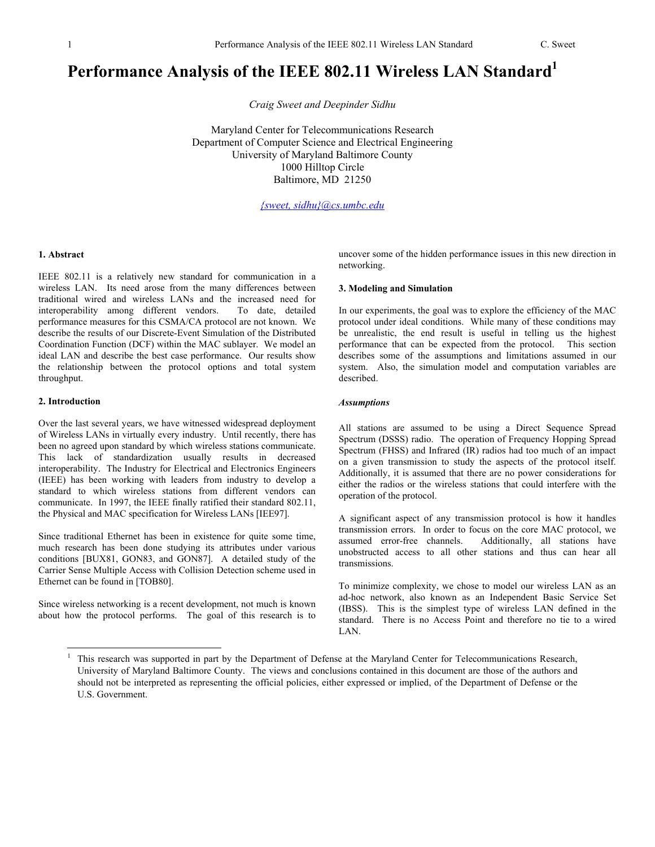# Performance Analysis of the IEEE 802.11 Wireless LAN Standard<sup>1</sup>

*Craig Sweet and Deepinder Sidhu* 

Maryland Center for Telecommunications Research Department of Computer Science and Electrical Engineering University of Maryland Baltimore County 1000 Hilltop Circle Baltimore, MD 21250

*{sweet, sidhu}@cs.umbc.edu* 

## **1. Abstract**

IEEE 802.11 is a relatively new standard for communication in a wireless LAN. Its need arose from the many differences between traditional wired and wireless LANs and the increased need for interoperability among different vendors. To date, detailed performance measures for this CSMA/CA protocol are not known. We describe the results of our Discrete-Event Simulation of the Distributed Coordination Function (DCF) within the MAC sublayer. We model an ideal LAN and describe the best case performance. Our results show the relationship between the protocol options and total system throughput.

## **2. Introduction**

 $\overline{a}$ 

Over the last several years, we have witnessed widespread deployment of Wireless LANs in virtually every industry. Until recently, there has been no agreed upon standard by which wireless stations communicate. This lack of standardization usually results in decreased interoperability. The Industry for Electrical and Electronics Engineers (IEEE) has been working with leaders from industry to develop a standard to which wireless stations from different vendors can communicate. In 1997, the IEEE finally ratified their standard 802.11, the Physical and MAC specification for Wireless LANs [IEE97].

Since traditional Ethernet has been in existence for quite some time, much research has been done studying its attributes under various conditions [BUX81, GON83, and GON87]. A detailed study of the Carrier Sense Multiple Access with Collision Detection scheme used in Ethernet can be found in [TOB80].

Since wireless networking is a recent development, not much is known about how the protocol performs. The goal of this research is to uncover some of the hidden performance issues in this new direction in networking.

## **3. Modeling and Simulation**

In our experiments, the goal was to explore the efficiency of the MAC protocol under ideal conditions. While many of these conditions may be unrealistic, the end result is useful in telling us the highest performance that can be expected from the protocol. This section describes some of the assumptions and limitations assumed in our system. Also, the simulation model and computation variables are described.

### *Assumptions*

All stations are assumed to be using a Direct Sequence Spread Spectrum (DSSS) radio. The operation of Frequency Hopping Spread Spectrum (FHSS) and Infrared (IR) radios had too much of an impact on a given transmission to study the aspects of the protocol itself. Additionally, it is assumed that there are no power considerations for either the radios or the wireless stations that could interfere with the operation of the protocol.

A significant aspect of any transmission protocol is how it handles transmission errors. In order to focus on the core MAC protocol, we assumed error-free channels. Additionally, all stations have unobstructed access to all other stations and thus can hear all transmissions.

To minimize complexity, we chose to model our wireless LAN as an ad-hoc network, also known as an Independent Basic Service Set (IBSS). This is the simplest type of wireless LAN defined in the standard. There is no Access Point and therefore no tie to a wired LAN.

<sup>1</sup> This research was supported in part by the Department of Defense at the Maryland Center for Telecommunications Research, University of Maryland Baltimore County. The views and conclusions contained in this document are those of the authors and should not be interpreted as representing the official policies, either expressed or implied, of the Department of Defense or the U.S. Government.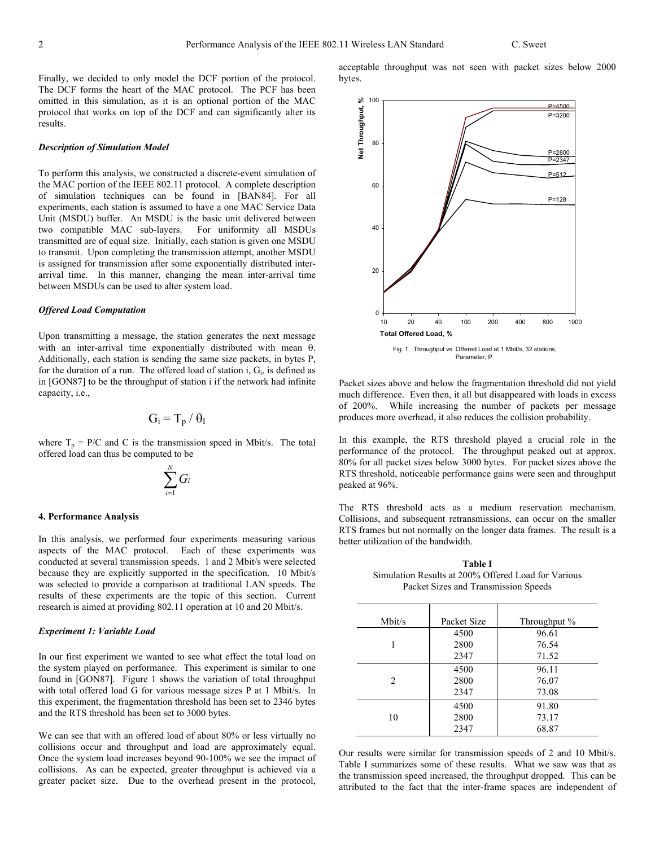Finally, we decided to only model the DCF portion of the protocol. The DCF forms the heart of the MAC protocol. The PCF has been omitted in this simulation, as it is an optional portion of the MAC protocol that works on top of the DCF and can significantly alter its results.

## *Description of Simulation Model*

To perform this analysis, we constructed a discrete-event simulation of the MAC portion of the IEEE 802.11 protocol. A complete description of simulation techniques can be found in [BAN84]. For all experiments, each station is assumed to have a one MAC Service Data Unit (MSDU) buffer. An MSDU is the basic unit delivered between two compatible MAC sub-layers. For uniformity all MSDUs transmitted are of equal size. Initially, each station is given one MSDU to transmit. Upon completing the transmission attempt, another MSDU is assigned for transmission after some exponentially distributed interarrival time. In this manner, changing the mean inter-arrival time between MSDUs can be used to alter system load.

## *Offered Load Computation*

Upon transmitting a message, the station generates the next message with an inter-arrival time exponentially distributed with mean θ. Additionally, each station is sending the same size packets, in bytes P, for the duration of a run. The offered load of station i,  $G_i$ , is defined as in [GON87] to be the throughput of station i if the network had infinite capacity, i.e.,

$$
G_i \equiv T_p \, / \, \theta_I
$$

where  $T_p = P/C$  and C is the transmission speed in Mbit/s. The total offered load can thus be computed to be

$$
\sum_{i=1}^N G_i
$$

## **4. Performance Analysis**

In this analysis, we performed four experiments measuring various aspects of the MAC protocol. Each of these experiments was conducted at several transmission speeds. 1 and 2 Mbit/s were selected because they are explicitly supported in the specification. 10 Mbit/s was selected to provide a comparison at traditional LAN speeds. The results of these experiments are the topic of this section. Current research is aimed at providing 802.11 operation at 10 and 20 Mbit/s.

## *Experiment 1: Variable Load*

In our first experiment we wanted to see what effect the total load on the system played on performance. This experiment is similar to one found in [GON87]. Figure 1 shows the variation of total throughput with total offered load G for various message sizes P at 1 Mbit/s. In this experiment, the fragmentation threshold has been set to 2346 bytes and the RTS threshold has been set to 3000 bytes.

We can see that with an offered load of about 80% or less virtually no collisions occur and throughput and load are approximately equal. Once the system load increases beyond 90-100% we see the impact of collisions. As can be expected, greater throughput is achieved via a greater packet size. Due to the overhead present in the protocol,

acceptable throughput was not seen with packet sizes below 2000 bytes.



Packet sizes above and below the fragmentation threshold did not yield much difference. Even then, it all but disappeared with loads in excess of 200%. While increasing the number of packets per message produces more overhead, it also reduces the collision probability.

In this example, the RTS threshold played a crucial role in the performance of the protocol. The throughput peaked out at approx. 80% for all packet sizes below 3000 bytes. For packet sizes above the RTS threshold, noticeable performance gains were seen and throughput peaked at 96%.

The RTS threshold acts as a medium reservation mechanism. Collisions, and subsequent retransmissions, can occur on the smaller RTS frames but not normally on the longer data frames. The result is a better utilization of the bandwidth.

**Table I**  Simulation Results at 200% Offered Load for Various Packet Sizes and Transmission Speeds

| Mbit/s | Packet Size          | Throughput %            |
|--------|----------------------|-------------------------|
| 1      | 4500<br>2800<br>2347 | 96.61<br>76.54<br>71.52 |
| 2      | 4500<br>2800<br>2347 | 96.11<br>76.07<br>73.08 |
| 10     | 4500<br>2800<br>2347 | 91.80<br>73.17<br>68.87 |

Our results were similar for transmission speeds of 2 and 10 Mbit/s. Table I summarizes some of these results. What we saw was that as the transmission speed increased, the throughput dropped. This can be attributed to the fact that the inter-frame spaces are independent of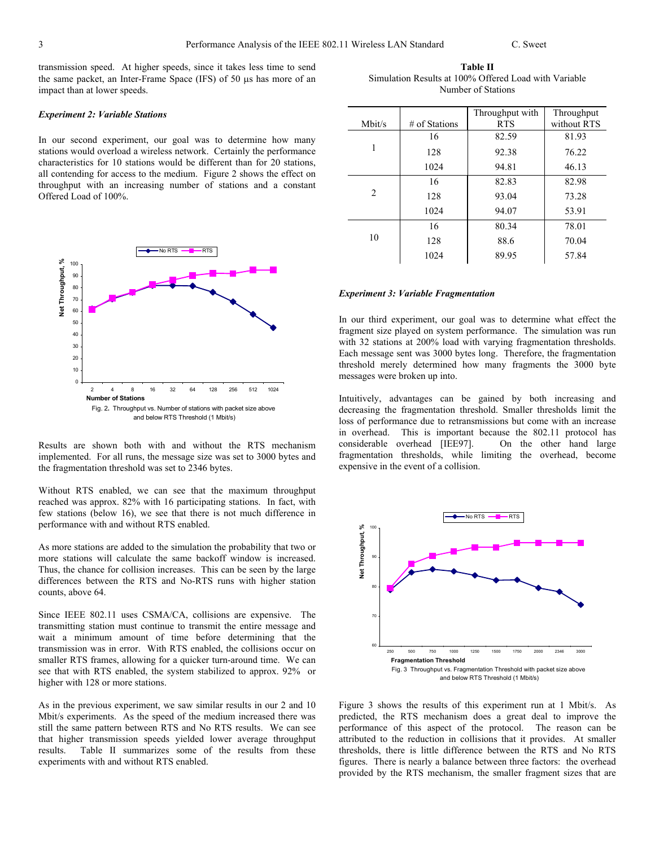transmission speed. At higher speeds, since it takes less time to send the same packet, an Inter-Frame Space (IFS) of 50 µs has more of an impact than at lower speeds.

#### *Experiment 2: Variable Stations*

In our second experiment, our goal was to determine how many stations would overload a wireless network. Certainly the performance characteristics for 10 stations would be different than for 20 stations, all contending for access to the medium. Figure 2 shows the effect on throughput with an increasing number of stations and a constant Offered Load of 100%.



Results are shown both with and without the RTS mechanism implemented. For all runs, the message size was set to 3000 bytes and the fragmentation threshold was set to 2346 bytes.

Without RTS enabled, we can see that the maximum throughput reached was approx. 82% with 16 participating stations. In fact, with few stations (below 16), we see that there is not much difference in performance with and without RTS enabled.

As more stations are added to the simulation the probability that two or more stations will calculate the same backoff window is increased. Thus, the chance for collision increases. This can be seen by the large differences between the RTS and No-RTS runs with higher station counts, above 64.

Since IEEE 802.11 uses CSMA/CA, collisions are expensive. The transmitting station must continue to transmit the entire message and wait a minimum amount of time before determining that the transmission was in error. With RTS enabled, the collisions occur on smaller RTS frames, allowing for a quicker turn-around time. We can see that with RTS enabled, the system stabilized to approx. 92% or higher with 128 or more stations.

As in the previous experiment, we saw similar results in our 2 and 10 Mbit/s experiments. As the speed of the medium increased there was still the same pattern between RTS and No RTS results. We can see that higher transmission speeds yielded lower average throughput results. Table II summarizes some of the results from these experiments with and without RTS enabled.

**Table II**  Simulation Results at 100% Offered Load with Variable Number of Stations

|        |               | Throughput with | Throughput  |
|--------|---------------|-----------------|-------------|
| Mbit/s | # of Stations | <b>RTS</b>      | without RTS |
|        | 16            | 82.59           | 81.93       |
| 1      | 128           | 92.38           | 76.22       |
|        | 1024          | 94.81           | 46.13       |
| 2      | 16            | 82.83           | 82.98       |
|        | 128           | 93.04           | 73.28       |
|        | 1024          | 94.07           | 53.91       |
| 10     | 16            | 80.34           | 78.01       |
|        | 128           | 88.6            | 70.04       |
|        | 1024          | 89.95           | 57.84       |

## *Experiment 3: Variable Fragmentation*

In our third experiment, our goal was to determine what effect the fragment size played on system performance. The simulation was run with 32 stations at 200% load with varying fragmentation thresholds. Each message sent was 3000 bytes long. Therefore, the fragmentation threshold merely determined how many fragments the 3000 byte messages were broken up into.

Intuitively, advantages can be gained by both increasing and decreasing the fragmentation threshold. Smaller thresholds limit the loss of performance due to retransmissions but come with an increase in overhead. This is important because the 802.11 protocol has considerable overhead [IEE97]. On the other hand large fragmentation thresholds, while limiting the overhead, become expensive in the event of a collision.



Figure 3 shows the results of this experiment run at 1 Mbit/s. As predicted, the RTS mechanism does a great deal to improve the performance of this aspect of the protocol. The reason can be attributed to the reduction in collisions that it provides. At smaller thresholds, there is little difference between the RTS and No RTS figures. There is nearly a balance between three factors: the overhead provided by the RTS mechanism, the smaller fragment sizes that are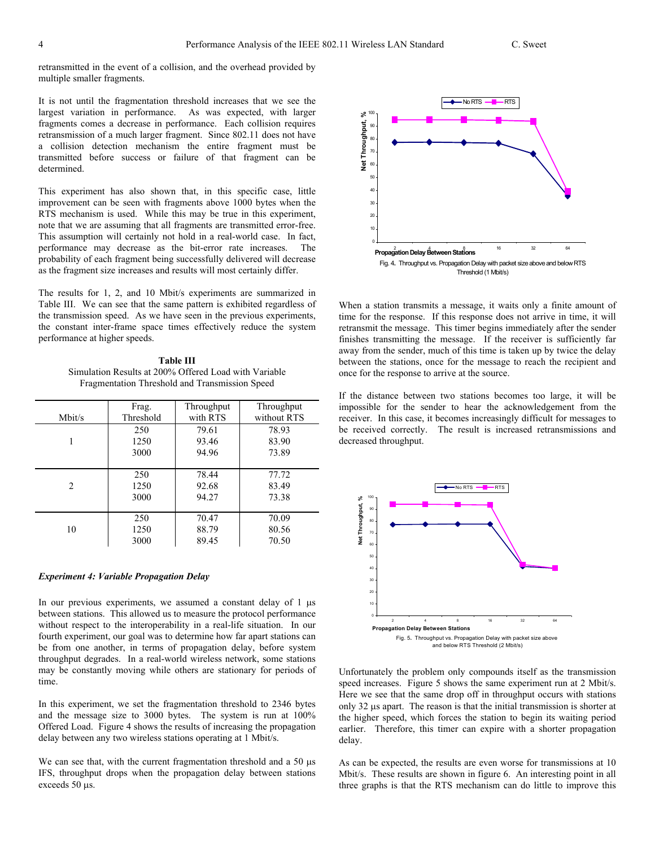retransmitted in the event of a collision, and the overhead provided by multiple smaller fragments.

It is not until the fragmentation threshold increases that we see the largest variation in performance. As was expected, with larger fragments comes a decrease in performance. Each collision requires retransmission of a much larger fragment. Since 802.11 does not have a collision detection mechanism the entire fragment must be transmitted before success or failure of that fragment can be determined.

This experiment has also shown that, in this specific case, little improvement can be seen with fragments above 1000 bytes when the RTS mechanism is used. While this may be true in this experiment, note that we are assuming that all fragments are transmitted error-free. This assumption will certainly not hold in a real-world case. In fact, performance may decrease as the bit-error rate increases. The probability of each fragment being successfully delivered will decrease as the fragment size increases and results will most certainly differ.

The results for 1, 2, and 10 Mbit/s experiments are summarized in Table III. We can see that the same pattern is exhibited regardless of the transmission speed. As we have seen in the previous experiments, the constant inter-frame space times effectively reduce the system performance at higher speeds.

**Table III**  Simulation Results at 200% Offered Load with Variable Fragmentation Threshold and Transmission Speed

| Mbit/s         | Frag.     | Throughput | Throughput  |
|----------------|-----------|------------|-------------|
|                | Threshold | with RTS   | without RTS |
|                | 250       | 79.61      | 78.93       |
|                | 1250      | 93.46      | 83.90       |
|                | 3000      | 94.96      | 73.89       |
| $\mathfrak{D}$ | 250       | 78.44      | 77.72       |
|                | 1250      | 92.68      | 83.49       |
|                | 3000      | 94.27      | 73.38       |
| 10             | 250       | 70.47      | 70.09       |
|                | 1250      | 88.79      | 80.56       |
|                | 3000      | 89.45      | 70.50       |

# *Experiment 4: Variable Propagation Delay*

In our previous experiments, we assumed a constant delay of 1  $\mu$ s between stations. This allowed us to measure the protocol performance without respect to the interoperability in a real-life situation. In our fourth experiment, our goal was to determine how far apart stations can be from one another, in terms of propagation delay, before system throughput degrades. In a real-world wireless network, some stations may be constantly moving while others are stationary for periods of time.

In this experiment, we set the fragmentation threshold to 2346 bytes and the message size to 3000 bytes. The system is run at 100% Offered Load. Figure 4 shows the results of increasing the propagation delay between any two wireless stations operating at 1 Mbit/s.

We can see that, with the current fragmentation threshold and a 50  $\mu$ s IFS, throughput drops when the propagation delay between stations exceeds 50 µs.



When a station transmits a message, it waits only a finite amount of time for the response. If this response does not arrive in time, it will retransmit the message. This timer begins immediately after the sender finishes transmitting the message. If the receiver is sufficiently far away from the sender, much of this time is taken up by twice the delay between the stations, once for the message to reach the recipient and once for the response to arrive at the source.

If the distance between two stations becomes too large, it will be impossible for the sender to hear the acknowledgement from the receiver. In this case, it becomes increasingly difficult for messages to be received correctly. The result is increased retransmissions and decreased throughput.



Unfortunately the problem only compounds itself as the transmission speed increases. Figure 5 shows the same experiment run at 2 Mbit/s. Here we see that the same drop off in throughput occurs with stations only 32 µs apart. The reason is that the initial transmission is shorter at the higher speed, which forces the station to begin its waiting period earlier. Therefore, this timer can expire with a shorter propagation delay.

As can be expected, the results are even worse for transmissions at 10 Mbit/s. These results are shown in figure 6. An interesting point in all three graphs is that the RTS mechanism can do little to improve this